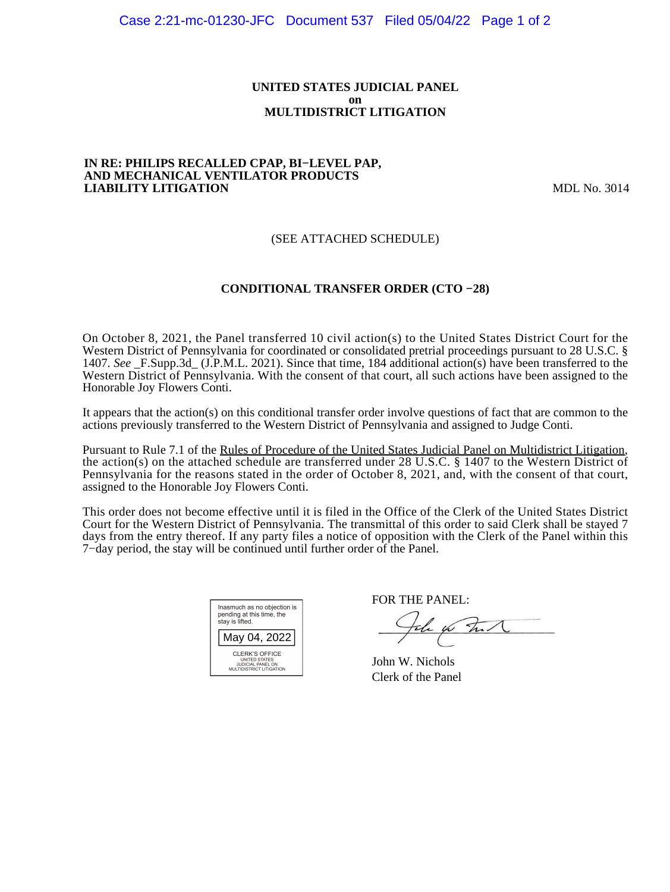### **UNITED STATES JUDICIAL PANEL on MULTIDISTRICT LITIGATION**

#### **IN RE: PHILIPS RECALLED CPAP, BI−LEVEL PAP, AND MECHANICAL VENTILATOR PRODUCTS LIABILITY LITIGATION** MDL No. 3014

# (SEE ATTACHED SCHEDULE)

# **CONDITIONAL TRANSFER ORDER (CTO −28)**

On October 8, 2021, the Panel transferred 10 civil action(s) to the United States District Court for the Western District of Pennsylvania for coordinated or consolidated pretrial proceedings pursuant to 28 U.S.C. § 1407. *See* \_F.Supp.3d\_ (J.P.M.L. 2021). Since that time, 184 additional action(s) have been transferred to the Western District of Pennsylvania. With the consent of that court, all such actions have been assigned to the Honorable Joy Flowers Conti.

It appears that the action(s) on this conditional transfer order involve questions of fact that are common to the actions previously transferred to the Western District of Pennsylvania and assigned to Judge Conti.

Pursuant to Rule 7.1 of the Rules of Procedure of the United States Judicial Panel on Multidistrict Litigation, the action(s) on the attached schedule are transferred under 28 U.S.C. § 1407 to the Western District of Pennsylvania for the reasons stated in the order of October 8, 2021, and, with the consent of that court, assigned to the Honorable Joy Flowers Conti.

This order does not become effective until it is filed in the Office of the Clerk of the United States District Court for the Western District of Pennsylvania. The transmittal of this order to said Clerk shall be stayed 7 days from the entry thereof. If any party files a notice of opposition with the Clerk of the Panel within this 7−day period, the stay will be continued until further order of the Panel.

| Inasmuch as no objection is<br>pending at this time, the<br>stay is lifted.             |  |  |  |
|-----------------------------------------------------------------------------------------|--|--|--|
| May 04, 2022                                                                            |  |  |  |
| CLERK'S OFFICE<br><b>UNITED STATES</b><br>JUDICIAL PANEL ON<br>MULTIDISTRICT LITIGATION |  |  |  |

FOR THE PANEL:

the for that

John W. Nichols Clerk of the Panel